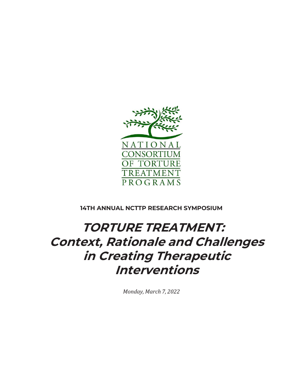

**14TH ANNUAL NCTTP RESEARCH SYMPOSIUM**

# TORTURE TREATMENT: Context, Rationale and Challenges in Creating Therapeutic Interventions

*Monday, March 7, 2022*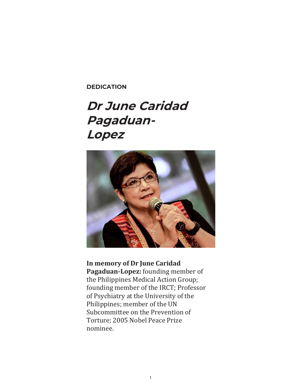**DEDICATION**

# Dr June Caridad Pagaduan-Lopez



**In memory of Dr June Caridad Pagaduan-Lopez:** founding member of the Philippines Medical Action Group; founding member of the IRCT; Professor of Psychiatry at the University of the Philippines; member of the UN Subcommittee on the Prevention of Torture; 2005 Nobel Peace Prize nominee.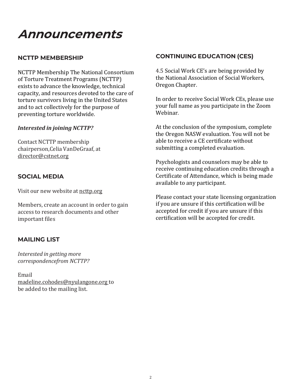# Announcements

## **NCTTP MEMBERSHIP**

NCTTP Membership The National Consortium of Torture Treatment Programs (NCTTP) exists to advance the knowledge, technical capacity, and resources devoted to the care of torture survivors living in the United States and to act collectively for the purpose of preventing torture worldwide.

#### *Interested in joining NCTTP?*

Contact NCTTP membership chairperson,Celia VanDeGraaf, at [director@cstnet.org](mailto:director@cstnet.org)

## **SOCIAL MEDIA**

Visit our new website at ncttp.org

Members, create an account in order to gain access to research documents and other important files

## **MAILING LIST**

*Interested in getting more correspondencefrom NCTTP?*

Email [madeline.cohodes@nyulangone.org](mailto:madeline.cohodes@nyulangone.org) to be added to the mailing list.

## **CONTINUING EDUCATION (CES)**

4.5 Social Work CE's are being provided by the National Association of Social Workers, Oregon Chapter.

In order to receive Social Work CEs, please use your full name as you participate in the Zoom Webinar.

At the conclusion of the symposium, complete the Oregon NASW evaluation. You will not be able to receive a CE certificate without submitting a completed evaluation.

Psychologists and counselors may be able to receive continuing education credits through a Certificate of Attendance, which is being made available to any participant.

Please contact your state licensing organization if you are unsure if this certification will be accepted for credit if you are unsure if this certification will be accepted for credit.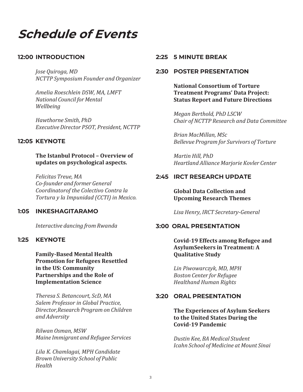Schedule of Events

#### **12:00 INTRODUCTION**

*Jose Quiroga, MD NCTTP Symposium Founder and Organizer*

*Amelia Roeschlein DSW, MA, LMFT National Council for Mental Wellbeing*

*Hawthorne Smith, PhD ExecutiveDirector PSOT, President, NCTTP*

#### **12:05 KEYNOTE**

#### **The Istanbul Protocol – Overview of updates on psychological aspects.**

*Felicitas Treue, MA Co-founder and former General Coordinatorof the Colectivo Contra la Tortura y la Impunidad (CCTI) in Mexico.*

#### **1:05 INKESHAGITARAMO**

*Interactive dancing from Rwanda*

#### **1:25 KEYNOTE**

**Family-Based Mental Health Promotion for Refugees Resettled in the US: Community Partnerships and the Role of Implementation Science**

*Theresa S. Betancourt, ScD, MA Salem Professor in Global Practice, Director,Research Program on Children and Adversity*

*Rilwan Osman, MSW Maine Immigrant and Refugee Services*

*Lila K. Chamlagai, MPH Candidate Brown University School of Public Health*

#### **2:25 5 MINUTE BREAK**

#### **2:30 POSTER PRESENTATION**

**National Consortium of Torture Treatment Programs' Data Project: Status Report and Future Directions**

*Megan Berthold, PhD LSCW Chair of NCTTP Research and Data Committee*

*Brian MacMillan, MSc Bellevue Program for Survivors of Torture*

*Martin Hill, PhD Heartland Alliance Marjorie Kovler Center*

#### **2:45 IRCT RESEARCH UPDATE**

**Global Data Collection and Upcoming Research Themes**

*Lisa Henry, IRCT Secretary-General*

#### **3:00 ORAL PRESENTATION**

**Covid-19 Effects among Refugee and AsylumSeekers in Treatment: A Qualitative Study**

*Lin Piwowarczyk, MD, MPH Boston Center for Refugee Healthand Human Rights*

#### **3:20 ORAL PRESENTATION**

**The Experiences of Asylum Seekers to the United States During the Covid-19 Pandemic**

*Dustin Kee, BA Medical Student Icahn School of Medicine at Mount Sinai*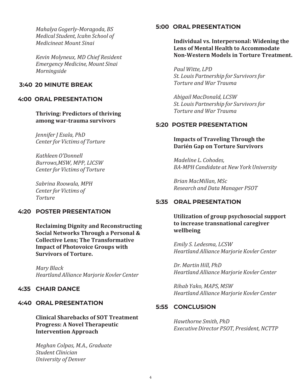*Mahalya Gogerly-Moragoda, BS Medical Student, Icahn School of Medicineat Mount Sinai*

*Kevin Molyneux, MD Chief Resident Emergency Medicine, Mount Sinai Morningside*

## **3:40 20 MINUTE BREAK**

## **4:00 ORAL PRESENTATION**

**Thriving: Predictors of thriving among war-trauma survivors**

*Jennifer J Esala, PhD Center for Victims of Torture*

*Kathleen O'Donnell Burrows,MSW, MPP, LICSW Center for Victims of Torture*

*Sabrina Roowala, MPH Center for Victims of Torture*

#### **4:20 POSTER PRESENTATION**

**Reclaiming Dignity and Reconstructing Social Networks Through a Personal & Collective Lens; The Transformative Impact of Photovoice Groups with Survivors of Torture.**

*Mary Black Heartland Alliance Marjorie Kovler Center*

## **4:35 CHAIR DANCE**

#### **4:40 ORAL PRESENTATION**

**Clinical Sharebacks of SOT Treatment Progress: A Novel Therapeutic Intervention Approach**

*Meghan Colpas, M.A., Graduate Student Clinician University of Denver*

#### **5:00 ORAL PRESENTATION**

**Individual vs. Interpersonal: Widening the Lens of Mental Health to Accommodate Non-Western Models in Torture Treatment.**

*Paul Witte, LPD St. Louis Partnership for Survivorsfor Torture and War Trauma*

*Abigail MacDonald, LCSW St. Louis Partnership for Survivorsfor Torture and War Trauma*

## **5:20 POSTER PRESENTATION**

**Impacts of Traveling Through the Darién Gap on Torture Survivors**

*Madeline L. Cohodes, BA-MPH Candidate at New York University*

*Brian MacMillan, MSc Research and Data Manager PSOT*

## **5:35 ORAL PRESENTATION**

**Utilization of group psychosocial support to increase transnational caregiver wellbeing**

*Emily S. Ledesma, LCSW Heartland Alliance Marjorie Kovler Center*

*Dr. Martin Hill, PhD Heartland Alliance Marjorie Kovler Center*

*Rihab Yako, MAPS, MSW Heartland Alliance Marjorie Kovler Center*

#### **5:55 CONCLUSION**

*Hawthorne Smith, PhD ExecutiveDirector PSOT, President, NCTTP*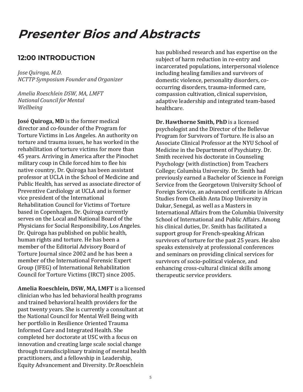# Presenter Bios and Abstracts

# **12:00 INTRODUCTION**

*Jose Quiroga, M.D. NCTTP Symposium Founder and Organizer*

*Amelia Roeschlein DSW, MA, LMFT National Council for Mental Wellbeing*

**José Quiroga, MD** is the former medical director and co-founder of the Program for Torture Victims in Los Angeles. An authority on torture and trauma issues, he has worked in the rehabilitation of torture victims for more than 45 years. Arriving in America after the Pinochet military coup in Chile forced him to flee his native country, Dr. Quiroga has been assistant professor at UCLA in the School of Medicine and Public Health, has served as associate director of Preventive Cardiology at UCLA and is former vice president of the International Rehabilitation Council for Victims of Torture based in Copenhagen. Dr. Quiroga currently serves on the Local and National Board of the Physicians for Social Responsibility, Los Angeles. Dr. Quiroga has published on public health, human rights and torture. He has been a member of the Editorial Advisory Board of Torture Journal since 2002 and he has been a member of the International Forensic Expert Group (IFEG) of International Rehabilitation Council for Torture Victims (IRCT) since 2005.

**Amelia Roeschlein, DSW, MA, LMFT** is a licensed clinician who has led behavioral health programs and trained behavioral health providers for the past twenty years. She is currently a consultant at the National Council for Mental Well Being with her portfolio in Resilience Oriented Trauma Informed Care and Integrated Health. She completed her doctorate at USC with a focus on innovation and creating large scale social change through transdisciplinary training of mental health practitioners, and a fellowship in Leadership, Equity Advancement and Diversity. Dr.Roeschlein

has published research and has expertise on the subject of harm reduction in re-entry and incarcerated populations, interpersonal violence including healing families and survivors of domestic violence, personality disorders, cooccurring disorders, trauma-informed care, compassion cultivation, clinical supervision, adaptive leadership and integrated team-based healthcare.

**Dr. Hawthorne Smith, PhD** is a licensed psychologist and the Director of the Bellevue Program for Survivors of Torture. He is also an Associate Clinical Professor at the NYU School of Medicine in the Department of Psychiatry. Dr. Smith received his doctorate in Counseling Psychology (with distinction) from Teachers College; Columbia University. Dr. Smith had previously earned a Bachelor of Science in Foreign Service from the Georgetown University School of Foreign Service, an advanced certificate in African Studies from Cheikh Anta Diop University in Dakar, Senegal, as well as a Masters in International Affairs from the Columbia University School of International and Public Affairs. Among his clinical duties, Dr. Smith has facilitated a support group for French-speaking African survivors of torture for the past 25 years. He also speaks extensively at professional conferences and seminars on providing clinical services for survivors of socio-political violence, and enhancing cross-cultural clinical skills among therapeutic service providers.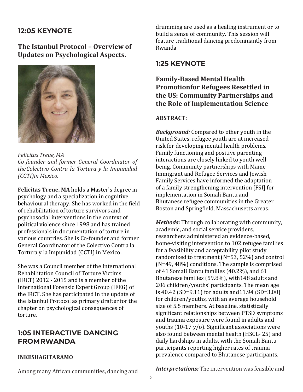# **12:05 KEYNOTE**

**The Istanbul Protocol – Overview of Updates on Psychological Aspects.**



*Felicitas Treue, MA Co-founder and former General Coordinator of theColectivo Contra la Tortura y la Impunidad (CCTI)in Mexico.*

**Felicitas Treue, MA** holds a Master's degree in psychology and a specialization in cognitive behavioural therapy. She has worked in the field of rehabilitation of torture survivors and psychosocial interventions in the context of political violence since 1998 and has trained professionals in documentation of torture in various countries. She is Co-founder and former General Coordinator of the Colectivo Contra la Tortura y la Impunidad (CCTI) in Mexico.

She was a Council member of the International Rehabilitation Council of Torture Victims (IRCT) 2012 - 2015 and is a member of the International Forensic Expert Group (IFEG) of the IRCT. She has participated in the update of the Istanbul Protocol as primary drafter for the chapter on psychological consequences of torture.

# **1:05 INTERACTIVE DANCING FROMRWANDA**

### **INKESHAGITARAMO**

drumming are used as a healing instrument or to build a sense of community. This session will feature traditional dancing predominantly from Rwanda

## **1:25 KEYNOTE**

## **Family-Based Mental Health Promotionfor Refugees Resettled in the US: Community Partnerships and the Role of Implementation Science**

#### **ABSTRACT:**

*Background:* Compared to other youth in the United States, refugee youth are at increased risk for developing mental health problems. Family functioning and positive parenting interactions are closely linked to youth wellbeing. Community partnerships with Maine Immigrant and Refugee Services and Jewish Family Services have informed the adaptation of a family strengthening intervention [FSI] for implementation in Somali Bantu and Bhutanese refugee communities in the Greater Boston and Springfield, Massachusetts areas.

*Methods:* Through collaborating with community, academic, and social service providers, researchers administered an evidence-based, home-visiting intervention to 102 refugee families for a feasibility and acceptability pilot study randomized to treatment (N=53, 52%) and control (N=49, 48%) conditions. The sample is comprised of 41 Somali Bantu families (40.2%), and 61 Bhutanese families (59.8%), with148 adults and 206 children/youths' participants. The mean age is 40.42 (SD=9.11) for adults and11.94 (SD=3.00) for children/youths, with an average household size of 5.5 members. At baseline, statistically significant relationships between PTSD symptoms and trauma exposure were found in adults and youths (10-17 y/o). Significant associations were also found between mental health (HSCL- 25) and daily hardships in adults, with the Somali Bantu participants reporting higher rates of trauma prevalence compared to Bhutanese participants.

Among many African communities, dancing and

*Interpretations:* The intervention was feasible and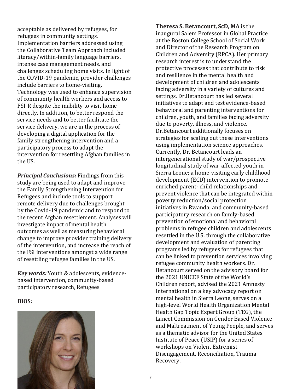acceptable as delivered by refugees, for refugees in community settings. Implementation barriers addressed using the Collaborative Team Approach included literacy/within-family language barriers, intense case management needs, and challenges scheduling home visits. In light of the COVID-19 pandemic, provider challenges include barriers to home-visiting. Technology was used to enhance supervision of community health workers and access to FSI-R despite the inability to visit home directly. In addition, to better respond the service needs and to better facilitate the service delivery, we are in the process of developing a digital application for the family strengthening intervention and a participatory process to adapt the intervention for resettling Afghan families in the US.

*Principal Conclusions:* Findings from this study are being used to adapt and improve the Family Strengthening Intervention for Refugees and include tools to support remote delivery due to challenges brought by the Covid-19 pandemic and to respond to the recent Afghan resettlement. Analyses will investigate impact of mental health outcomes as well as measuring behavioral change to improve provider training delivery of the intervention, and increase the reach of the FSI interventions amongst a wide range of resettling refugee families in the US.

*Key words:* Youth & adolescents, evidencebased intervention, community-based participatory research, Refugees

#### **BIOS:**



**Theresa S. Betancourt, ScD, MA** is the inaugural Salem Professor in Global Practice at the Boston College School of Social Work and Director of the Research Program on Children and Adversity (RPCA). Her primary research interest is to understand the protective processes that contribute to risk and resilience in the mental health and development of children and adolescents facing adversity in a variety of cultures and settings. Dr.Betancourt has led several initiatives to adapt and test evidence-based behavioral and parenting interventions for children, youth, and families facing adversity due to poverty, illness, and violence. Dr.Betancourt additionally focuses on strategies for scaling out these interventions using implementation science approaches. Currently, Dr. Betancourt leads an intergenerational study of war/prospective longitudinal study of war-affected youth in Sierra Leone; a home-visiting early childhood development (ECD) intervention to promote enriched parent- child relationships and prevent violence that can be integrated within poverty reduction/social protection initiatives in Rwanda; and community-based participatory research on family-based prevention of emotional and behavioral problems in refugee children and adolescents resettled in the U.S. through the collaborative development and evaluation of parenting programs led by refugees for refugees that can be linked to prevention services involving refugee community health workers. Dr. Betancourt served on the advisory board for the 2021 UNICEF State of the World's Children report, advised the 2021 Amnesty International on a key advocacy report on mental health in Sierra Leone, serves on a high-level World Health Organization Mental Health Gap Topic Expert Group (TEG), the Lancet Commission on Gender Based Violence and Maltreatment of Young People, and serves as a thematic advisor for the United States Institute of Peace (USIP) for a series of workshops on Violent Extremist Disengagement, Reconciliation, Trauma Recovery.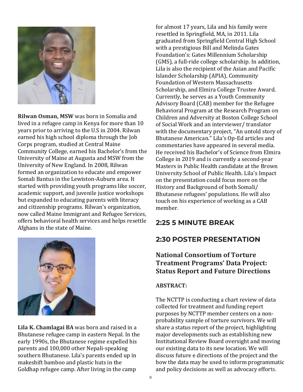

**Rilwan Osman, MSW** was born in Somalia and lived in a refugee camp in Kenya for more than 10 years prior to arriving to the U.S in 2004. Rilwan earned his high school diploma through the Job Corps program, studied at Central Maine Community College, earned his Bachelor's from the University of Maine at Augusta and MSW from the University of New England. In 2008, Rilwan formed an organization to educate and empower Somali Bantus in the Lewiston-Auburn area. It started with providing youth programs like soccer, academic support, and juvenile justice workshops but expanded to educating parents with literacy and citizenship programs. Rilwan's organization, now called Maine Immigrant and Refugee Services, offers behavioral health services and helps resettle Afghans in the state of Maine.

**Lila K. Chamlagai BA** was born and raised in a Bhutanese refugee camp in eastern Nepal. In the early 1990s, the Bhutanese regime expelled his parents and 100,000 other Nepali-speaking southern Bhutanese. Lila's parents ended up in makeshift bamboo and plastic huts in the Goldhap refugee camp. After living in the camp

for almost 17 years, Lila and his family were resettled in Springfield, MA, in 2011. Lila graduated from Springfield Central High School with a prestigious Bill and Melinda Gates Foundation's: Gates Millennium Scholarship (GMS), a full-ride college scholarship. In addition, Lila is also the recipient of the Asian and Pacific Islander Scholarship (APIA), Community Foundation of Western Massachusetts Scholarship, and Elmira College Trustee Award. Currently, he serves as a Youth Community Advisory Board (CAB) member for the Refugee Behavioral Program at the Research Program on Children and Adversity at Boston College School of Social Work and an interviewer/ translator with the documentary project, "An untold story of Bhutanese American." Lila's Op-Ed articles and commentaries have appeared in several media. He received his Bachelor's of Science from Elmira College in 2019 and is currently a second-year Masters in Public Health candidate at the Brown University School of Public Health. Lila's Impact on the presentation could focus more on the History and Background of both Somali/ Bhutanese refugees' populations. He will also touch on his experience of working as a CAB member.

# **2:25 5 MINUTE BREAK**

# **2:30 POSTER PRESENTATION**

# **National Consortium of Torture Treatment Programs' Data Project: Status Report and Future Directions**

## **ABSTRACT:**

The NCTTP is conducting a chart review of data collected for treatment and funding report purposes by NCTTP member centers on a nonprobability sample of torture survivors. We will share a status report of the project, highlighting major developments such as establishing new Institutional Review Board oversight and moving our existing data to its new location. We will discuss future e directions of the project and the how the data may be used to inform programmatic and policy decisions as well as advocacy efforts.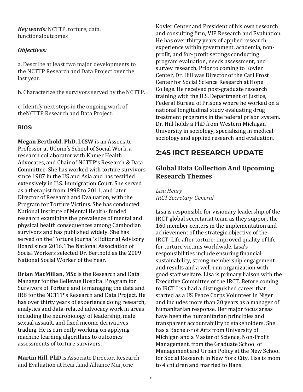*Key words:* NCTTP, torture, data, functionaloutcomes

## *Objectives:*

a. Describe at least two major developments to the NCTTP Research and Data Project over the last year.

b. Characterize the survivors served by the NCTTP.

c. Identify next steps in the ongoing work of theNCTTP Research and Data Project.

## **BIOS:**

**Megan Berthold, PhD, LCSW** is an Associate Professor at UConn's School of Social Work, a research collaborator with Khmer Health Advocates, and Chair of NCTTP's Research & Data Committee. She has worked with torture survivors since 1987 in the US and Asia and has testified extensively in U.S. Immigration Court. She served as a therapist from 1998 to 2011, and later Director of Research and Evaluation, with the Program for Torture Victims. She has conducted National Institute of Mental Health- funded research examining the prevalence of mental and physical health consequences among Cambodian survivors and has published widely. She has served on the Torture Journal's Editorial Advisory Board since 2016. The National Association of Social Workers selected Dr. Berthold as the 2009 National Social Worker of the Year.

**Brian MacMillan, MSc** is the Research and Data Manager for the Bellevue Hospital Program for Survivors of Torture and is managing the data and IRB for the NCTTP's Research and Data Project. He has over thirty years of experience doing research, analytics and data-related advocacy work in areas including the neurobiology of leadership, male sexual assault, and fixed income derivatives trading. He is currently working on applying machine learning algorithms to outcomes assessments of torture survivors.

**Martin Hill, PhD** is Associate Director, Research and Evaluation at Heartland Alliance Marjorie

Kovler Center and President of his own research and consulting firm, VIP Research and Evaluation. He has over thirty years of applied research experience within government, academia, nonprofit, and for- profit settings conducting program evaluation, needs assessment, and survey research. Prior to coming to Kovler Center, Dr. Hill was Director of the Carl Frost Center for Social Science Research at Hope College. He received post-graduate research training with the U.S. Department of Justice, Federal Bureau of Prisons where he worked on a national longitudinal study evaluating drug treatment programs in the federal prison system. Dr. Hill holds a PhD from Western Michigan University in sociology, specializing in medical sociology and applied research and evaluation.

# **2:45 IRCT RESEARCH UPDATE**

# **Global Data Collection And Upcoming Research Themes**

*Lisa Henry IRCT Secretary-General*

Lisa is responsible for visionary leadership of the IRCT global secretariat team as they support the 160 member centers in the implementation and achievement of the strategic objective of the IRCT: Life after torture: improved quality of life for torture victims worldwide. Lisa's responsibilities include ensuring financial sustainability, strong membership engagement and results and a well-run organization with good staff welfare. Lisa is primary liaison with the Executive Committee of the IRCT. Before coming to IRCT Lisa had a distinguished career that started as a US Peace Corps Volunteer in Niger and includes more than 20 years as a manager of humanitarian response. Her major focus areas have been the humanitarian principles and transparent accountability to stakeholders. She has a Bachelor of Arts from University of Michigan and a Master of Science, Non-Profit Management, from the Graduate School of Management and Urban Policy at the New School for Social Research in New York City. Lisa is mom to 4 children and married to Hans.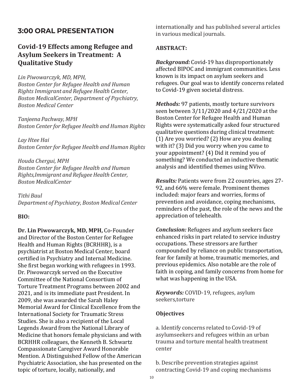# **3:00 ORAL PRESENTATION**

# **Covid-19 Effects among Refugee and Asylum Seekers in Treatment: A Qualitative Study**

#### *Lin Piwowarczyk, MD, MPH,*

*Boston Center for Refugee Health and Human Rights Immigrant and Refugee Health Center, Boston MedicalCenter, Department of Psychiatry, Boston Medical Center*

*Tanjeena Pachway, MPH Boston Center for Refugee Health and Human Rights*

*Lay Htee Hai Boston Center for Refugee Health and Human Rights*

*Houda Chergui, MPH Boston Center for Refugee Health and Human Rights,Immigrant and RefugeeHealth Center, Boston MedicalCenter*

*Tithi Baul Department of Psychiatry, Boston Medical Center*

#### **BIO:**

**Dr. Lin Piwowarczyk, MD, MPH,** Co-Founder and Director of the Boston Center for Refugee Health and Human Rights (BCRHHR), is a psychiatrist at Boston Medical Center, board certified in Psychiatry and Internal Medicine. She first began working with refugees in 1993. Dr. Piwowarczyk served on the Executive Committee of the National Consortium of Torture Treatment Programs between 2002 and 2021, and is its immediate past President. In 2009, she was awarded the Sarah Haley Memorial Award for Clinical Excellence from the International Society for Traumatic Stress Studies. She is also a recipient of the Local Legends Award from the National Library of Medicine that honors female physicians and with BCRHHR colleagues, the Kenneth B. Schwartz Compassionate Caregiver Award Honorable Mention. A Distinguished Fellow of the American Psychiatric Association, she has presented on the topic of torture, locally, nationally, and

internationally and has published several articles in various medical journals.

#### **ABSTRACT:**

*Background:* Covid-19 has disproportionately affected BIPOC and immigrant communities. Less known is its impact on asylum seekers and refugees. Our goal was to identify concerns related to Covid-19 given societal distress.

*Methods:* 97 patients, mostly torture survivors seen between 3/11/2020 and 4/21/2020 at the Boston Center for Refugee Health and Human Rights were systematically asked four structured qualitative questions during clinical treatment: (1) Are you worried? (2) How are you dealing with it? (3) Did you worry when you came to your appointment? (4) Did it remind you of something? We conducted an inductive thematic analysis and identified themes using NVivo.

*Results:* Patients were from 22 countries, ages 27- 92, and 66% were female. Prominent themes included: major fears and worries, forms of prevention and avoidance, coping mechanisms, reminders of the past, the role of the news and the appreciation of telehealth.

*Conclusion:* Refugees and asylum seekers face enhanced risks in part related to service industry occupations. These stressors are further compounded by reliance on public transportation, fear for family at home, traumatic memories, and previous epidemics. Also notable are the role of faith in coping, and family concerns from home for what was happening in the USA.

*Keywords:* COVID-19, refugees, asylum seekers,torture

#### **Objectives**

a. Identify concerns related to Covid-19 of asylumseekers and refugees within an urban trauma and torture mental health treatment center

b. Describe prevention strategies against contracting Covid-19 and coping mechanisms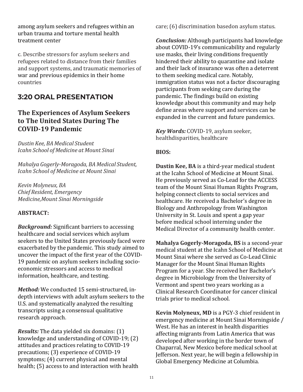among asylum seekers and refugees within an urban trauma and torture mental health treatment center

c. Describe stressors for asylum seekers and refugees related to distance from their families and support systems, and traumatic memories of war and previous epidemics in their home countries

# **3:20 ORAL PRESENTATION**

# **The Experiences of Asylum Seekers to The United States During The COVID-19 Pandemic**

*Dustin Kee, BA Medical Student Icahn School of Medicine at Mount Sinai*

*Mahalya Gogerly-Moragoda, BA Medical Student, Icahn School of Medicine at Mount Sinai*

*Kevin Molyneux, BA Chief Resident, Emergency Medicine,Mount Sinai Morningside*

## **ABSTRACT:**

*Background:* Significant barriers to accessing healthcare and social services which asylum seekers to the United States previously faced were exacerbated by the pandemic. This study aimed to uncover the impact of the first year of the COVID-19 pandemic on asylum seekers including socioeconomic stressors and access to medical information, healthcare, and testing.

*Method:* We conducted 15 semi-structured, indepth interviews with adult asylum seekers to the U.S. and systematically analyzed the resulting transcripts using a consensual qualitative research approach.

*Results:* The data yielded six domains: (1) knowledge and understanding of COVID-19; (2) attitudes and practices relating to COVID-19 precautions; (3) experience of COVID-19 symptoms; (4) current physical and mental health; (5) access to and interaction with health care; (6) discrimination basedon asylum status.

*Conclusion:* Although participants had knowledge about COVID-19's communicability and regularly use masks, their living conditions frequently hindered their ability to quarantine and isolate and their lack of insurance was often a deterrent to them seeking medical care. Notably, immigration status was not a factor discouraging participants from seeking care during the pandemic. The findings build on existing knowledge about this community and may help define areas where support and services can be expanded in the current and future pandemics.

*Key Words:* COVID-19, asylum seeker, healthdisparities, healthcare

## **BIOS:**

**Dustin Kee, BA** is a third-year medical student at the Icahn School of Medicine at Mount Sinai. He previously served as Co-Lead for the ACCESS team of the Mount Sinai Human Rights Program, helping connect clients to social services and healthcare. He received a Bachelor's degree in Biology and Anthropology from Washington University in St. Louis and spent a gap year before medical school interning under the Medical Director of a community health center.

**Mahalya Gogerly-Moragoda, BS** is a second-year medical student at the Icahn School of Medicine at Mount Sinai where she served as Co-Lead Clinic Manager for the Mount Sinai Human Rights Program for a year. She received her Bachelor's degree in Microbiology from the University of Vermont and spent two years working as a Clinical Research Coordinator for cancer clinical trials prior to medical school.

**Kevin Molyneux, MD** is a PGY-3 chief resident in emergency medicine at Mount Sinai Morningside / West. He has an interest in health disparities affecting migrants from Latin America that was developed after working in the border town of Chaparral, New Mexico before medical school at Jefferson. Next year, he will begin a fellowship in Global Emergency Medicine at Columbia.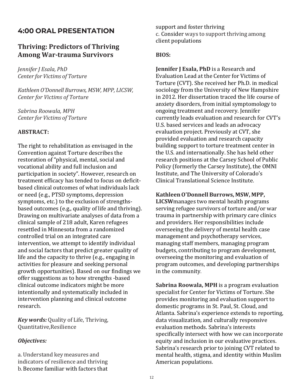# **4:00 ORAL PRESENTATION**

## **Thriving: Predictors of Thriving Among War-trauma Survivors**

*Jennifer J Esala, PhD Center for Victims of Torture*

*Kathleen O'Donnell Burrows, MSW, MPP, LICSW, Center for Victims of Torture*

*Sabrina Roowala, MPH Center for Victims of Torture*

#### **ABSTRACT:**

The right to rehabilitation as envisaged in the Convention against Torture describes the restoration of "physical, mental, social and vocational ability and full inclusion and participation in society". However, research on treatment efficacy has tended to focus on deficitbased clinical outcomes of what individuals lack or need (e.g., PTSD symptoms, depression symptoms, etc.) to the exclusion of strengthsbased outcomes (e.g., quality of life and thriving). Drawing on multivariate analyses of data from a clinical sample of 218 adult, Karen refugees resettled in Minnesota from a randomized controlled trial on an integrated care intervention, we attempt to identify individual and social factors that predict greater quality of life and the capacity to thrive (e.g., engaging in activities for pleasure and seeking personal growth opportunities). Based on our findings we offer suggestions as to how strengths -based clinical outcome indicators might be more intentionally and systematically included in intervention planning and clinical outcome research.

*Key words:* Quality of Life, Thriving, Quantitative,Resilience

#### *Objectives:*

a. Understand key measures and indicators of resilience and thriving b.Become familiar with factors that support and foster thriving c. Consider ways to support thriving among client populations

#### **BIOS:**

**Jennifer J Esala, PhD** is a Research and Evaluation Lead at the Center for Victims of Torture (CVT). She received her Ph.D. in medical sociology from the University of New Hampshire in 2012. Her dissertation traced the life course of anxiety disorders, from initial symptomology to ongoing treatment and recovery. Jennifer currently leads evaluation and research for CVT's U.S. based services and leads an advocacy evaluation project. Previously at CVT, she provided evaluation and research capacity building support to torture treatment center in the U.S. and internationally. She has held other research positions at the Carsey School of Public Policy (formerly the Carsey Institute), the OMNI Institute, and The University of Colorado's Clinical Translational Science Institute.

**KathleenO'Donnell Burrows, MSW, MPP,**

**LICSW**manages two mental health programs serving refugee survivors of torture and/or war trauma in partnership with primary care clinics and providers. Her responsibilities include overseeing the delivery of mental health case management and psychotherapy services, managing staff members, managing program budgets, contributing to program development, overseeing the monitoring and evaluation of program outcomes, and developing partnerships in the community.

**Sabrina Roowala, MPH** is a program evaluation specialist for Center for Victims of Torture. She provides monitoring and evaluation support to domestic programs in St. Paul, St. Cloud, and Atlanta. Sabrina's experience extends to reporting, data visualization, and culturally responsive evaluation methods. Sabrina's interests specifically intersect with how we can incorporate equity and inclusion in our evaluative practices. Sabrina's research prior to joining CVT related to mental health, stigma, and identity within Muslim American populations.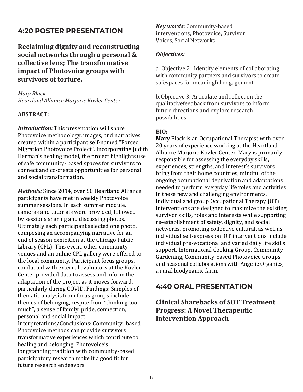# **4:20 POSTER PRESENTATION**

**Reclaiming dignity and reconstructing social networks through a personal & collective lens; The transformative impact of Photovoice groups with survivors of torture.**

*Mary Black Heartland Alliance Marjorie Kovler Center*

### **ABSTRACT:**

*Introduction:* This presentation will share Photovoice methodology, images, and narratives created within a participant self-named "Forced Migration Photovoice Project". Incorporating Judith Herman's healing model, the project highlights use of safe community- based spaces for survivors to connect and co-create opportunities for personal and social transformation.

*Methods:* Since 2014, over 50 Heartland Alliance participants have met in weekly Photovoice summer sessions. In each summer module, cameras and tutorials were provided, followed by sessions sharing and discussing photos. Ultimately each participant selected one photo, composing an accompanying narrative for an end of season exhibition at the Chicago Public Library (CPL). This event, other community venues and an online CPL gallery were offered to the local community. Participant focus groups, conducted with external evaluators at the Kovler Center provided data to assess and inform the adaptation of the project as it moves forward, particularly during COVID. Findings: Samples of thematic analysis from focus groups include themes of belonging, respite from "thinking too much", a sense of family, pride, connection, personal and social impact. Interpretations/Conclusions: Community- based Photovoice methods can provide survivors transformative experiences which contribute to healing and belonging. Photovoice's longstanding tradition with community-based participatory research make it a good fit for future research endeavors.

*Key words:* Community-based interventions, Photovoice, Survivor Voices, Social Networks

#### *Objectives:*

a. Objective 2: Identify elements of collaborating with community partners and survivors to create safespaces for meaningful engagement

b.Objective 3: Articulate and reflect on the qualitativefeedback from survivors to inform future directions and explore research possibilities.

#### **BIO:**

**Mary** Black is an Occupational Therapist with over 20 years of experience working at the Heartland Alliance Marjorie Kovler Center. Mary is primarily responsible for assessing the everyday skills, experiences, strengths, and interest's survivors bring from their home countries, mindful of the ongoing occupational deprivation and adaptations needed to perform everyday life roles and activities in these new and challenging environments. Individual and group Occupational Therapy (OT) interventions are designed to maximize the existing survivor skills, roles and interests while supporting re-establishment of safety, dignity, and social networks, promoting collective cultural, as well as individual self-expression. OT interventions include individual pre-vocational and varied daily life skills support, International Cooking Group, Community Gardening, Community-based Photovoice Groups and seasonal collaborations with Angelic Organics, a rural biodynamic farm.

# **4:40 ORAL PRESENTATION**

**Clinical Sharebacks of SOT Treatment Progress: A Novel Therapeutic Intervention Approach**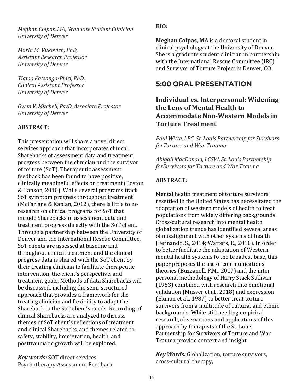*Meghan Colpas, MA, Graduate Student Clinician University of Denver*

*Maria M. Vukovich, PhD, Assistant Research Professor University of Denver*

*Tiamo Katsonga-Phiri, PhD, Clinical Assistant Professor University of Denver*

*Gwen V. Mitchell, PsyD, Associate Professor University of Denver*

### **ABSTRACT:**

This presentation will share a novel direct services approach that incorporates clinical Sharebacks of assessment data and treatment progress between the clinician and the survivor of torture (SoT). Therapeutic assessment feedback has been found to have positive, clinically meaningful effects on treatment (Poston & Hanson, 2010). While several programs track SoT symptom progress throughout treatment (McFarlane & Kaplan, 2012), there is little to no research on clinical programs for SoT that include Sharebacks of assessment data and treatment progress directly with the SoT client. Through a partnership between the University of Denver and the International Rescue Committee, SoT clients are assessed at baseline and throughout clinical treatment and the clinical progress data is shared with the SoT client by their treating clinician to facilitate therapeutic intervention, the client's perspective, and treatment goals. Methods of data Sharebacks will be discussed, including the semi-structured approach that provides a framework for the treating clinician and flexibility to adapt the Shareback to the SoT client's needs. Recording of clinical Sharebacks are analyzed to discuss themes of SoT client's reflections of treatment and clinical Sharebacks, and themes related to safety, stability, immigration, health, and posttraumatic growth will be explored.

*Key words:* SOT direct services; Psychotherapy;Assessment Feedback **BIO:**

**Meghan Colpas, MA** is a doctoral student in clinical psychology at the University of Denver. She is a graduate student clinician in partnership with the International Rescue Committee (IRC) and Survivor of Torture Project in Denver, CO.

# **5:00 ORAL PRESENTATION**

# **Individual vs. Interpersonal: Widening the Lens of Mental Health to Accommodate Non-Western Models in Torture Treatment**

*Paul Witte, LPC, St. Louis Partnership for Survivors forTorture and War Trauma*

*Abigail MacDonald, LCSW, St. Louis Partnership forSurvivors for Torture and War Trauma*

## **ABSTRACT:**

Mental health treatment of torture survivors resettled in the United States has necessitated the adaptation of western models of health to treat populations from widely differing backgrounds. Cross-cultural research into mental health globalization trends has identified several areas of misalignment with other systems of health (Fernando, S., 2014; Watters, E., 2010). In order to better facilitate the adaptation of Western mental health systems to the broadest base, this paper proposes the use of communications theories (Buzzanell, P.M., 2017) and the interpersonal methodology of Harry Stack Sullivan (1953) combined with research into emotional validation (Musser et al., 2018) and expression (Ekman et al., 1987) to better treat torture survivors from a multitude of cultural and ethnic backgrounds. While still needing empirical research, observations and applications of this approach by therapists of the St. Louis Partnership for Survivors of Torture and War Trauma provide context and insight.

*Key Words:* Globalization, torture survivors, cross-cultural therapy,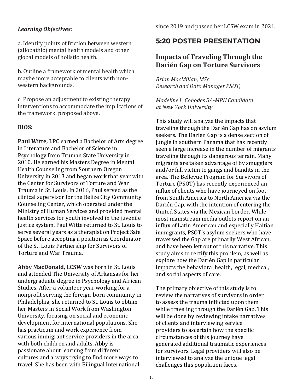### *Learning Objectives:*

a. Identify points of friction between western (allopathic) mental health models and other global models of holistic health.

b. Outline a framework of mental health which maybe more acceptable to clients with nonwestern backgrounds.

c. Propose an adjustment to existing therapy interventions to accommodate the implications of the framework. proposed above.

#### **BIOS:**

**Paul Witte, LPC** earned a Bachelor of Arts degree in Literature and Bachelor of Science in Psychology from Truman State University in 2010. He earned his Masters Degree in Mental Health Counseling from Southern Oregon University in 2013 and began work that year with the Center for Survivors of Torture and War Trauma in St. Louis. In 2016, Paul served as the clinical supervisor for the Belize City Community Counseling Center, which operated under the Ministry of Human Services and provided mental health services for youth involved in the juvenile justice system. Paul Witte returned to St. Louis to serve several years as a therapist on Project Safe Space before accepting a position as Coordinator of the St. Louis Partnership for Survivors of Torture and War Trauma.

**Abby MacDonald, LCSW** was born in St. Louis and attended The University of Arkansas for her undergraduate degree in Psychology and African Studies. After a volunteer year working for a nonprofit serving the foreign-born community in Philadelphia, she returned to St. Louis to obtain her Masters in Social Work from Washington University, focusing on social and economic development for international populations. She has practicum and work experience from various immigrant service providers in the area with both children and adults. Abby is passionate about learning from different cultures and always trying to find more ways to travel. She has been with Bilingual International

# **5:20 POSTER PRESENTATION**

# **Impacts of Traveling Through the Darién Gap on Torture Survivors**

*Brian MacMillan, MSc Research andData Manager PSOT,*

*Madeline L. Cohodes BA-MPH Candidate at New York University*

This study will analyze the impacts that traveling through the Darién Gap has on asylum seekers. The Darién Gap is a dense section of jungle in southern Panama that has recently seen a large increase in the number of migrants traveling through its dangerous terrain. Many migrants are taken advantage of by smugglers and/or fall victim to gangs and bandits in the area. The Bellevue Program for Survivors of Torture (PSOT) has recently experienced an influx of clients who have journeyed on foot from South America to North America via the Darién Gap, with the intention of entering the United States via the Mexican border. While most mainstream media outlets report on an influx of Latin American and especially Haitian immigrants, PSOT's asylum seekers who have traversed the Gap are primarily West African, and have been left out of this narrative. This study aims to rectify this problem, as well as explore how the Darién Gap in particular impacts the behavioral health, legal, medical, and social aspects of care.

The primary objective of this study is to review the narratives of survivors in order to assess the trauma inflicted upon them while traveling through the Darién Gap. This will be done by reviewing intake narratives of clients and interviewing service providers to ascertain how the specific circumstances of this journey have generated additional traumatic experiences for survivors. Legal providers will also be interviewed to analyze the unique legal challenges this population faces.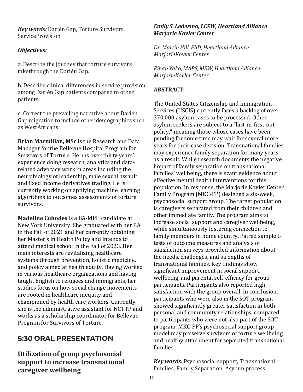*Key words:* Darién Gap, Torture Survivors, ServiceProvision

### *Objectives:*

a. Describe the journey that torture survivors takethrough the Darién Gap.

b. Describe clinical differences in service provision among Darién Gap patients compared to other patients

c. Correct the prevailing narrative about Darién Gap migration to include other demographics such as WestAfricans

**Brian Macmillan, MSc** is the Research and Data Manager for the Bellevue Hospital Program for Survivors of Torture. He has over thirty years' experience doing research, analytics and datarelated advocacy work in areas including the neurobiology of leadership, male sexual assault, and fixed income derivatives trading. He is currently working on applying machine learning algorithms to outcomes assessments of torture survivors.

**Madeline Cohodes** is a BA-MPH candidate at New York University. She graduated with her BA in the Fall of 2021 and her currently obtaining her Master's in Health Policy and intends to attend medical school in the Fall of 2023. Her main interests are revitalizing healthcare systems through prevention, holistic medicine, and policy aimed at health equity. Having worked in various healthcare organizations and having taught English to refugees and immigrants, her studies focus on how social change movements are rooted in healthcare inequity and championed by health care workers. Currently, she is the administrative assistant for NCTTP and works as a scholarship coordinator for Bellevue Program for Survivors of Torture.

# **5:30 ORAL PRESENTATION**

**Utilization of group psychosocial support to increase transnational caregiver wellbeing**

#### *Emily S. Ledesma, LCSW, Heartland Alliance Marjorie Kovler Center*

*Dr. Martin Hill, PhD, Heartland Alliance MarjorieKovler Center*

*Rihab Yako, MAPS, MSW,Heartland Alliance MarjorieKovler Center*

## **ABSTRACT:**

The United States Citizenship and Immigration Services (USCIS) currently faces a backlog of over 370,000 asylum cases to be processed. Other asylum seekers are subject to a "last-in-first-outpolicy," meaning those whose cases have been pending for some time may wait for several more years for their case decision. Transnational families may experience family separation for many years as a result. While research documents the negative impact of family separation on transnational families' wellbeing, there is scant evidence about effective mental health interventions for this population. In response, the Marjorie Kovler Center Family Program (MKC-FP) designed a six-week, psychosocial support group. The target population is caregivers separated from their children and other immediate family. The program aims to increase social support and caregiver wellbeing, while simultaneously fostering connection to family members in home country. Paired sample ttests of outcome measures and analysis of satisfaction surveys provided information about the needs, challenges, and strengths of transnational families. Key findings show significant improvement in social support, wellbeing, and parental self-efficacy for group participants. Participants also reported high satisfaction with the group overall. In conclusion, participants who were also in the SOT program showed significantly greater satisfaction in both personal and community relationships, compared to participants who were not also part of the SOT program. MKC-FP's psychosocial support group model may preserve survivors of torture wellbeing and healthy attachment for separated transnational families.

*Key words:* Psychosocial support; Transnational families; Family Separation; Asylum process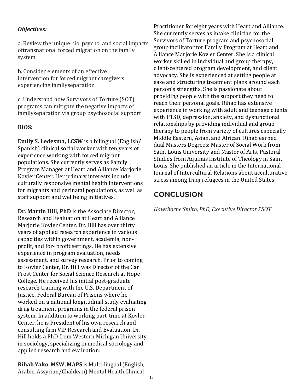## *Objectives:*

a. Review the unique bio, psycho, and social impacts oftransnational forced migration on the family system

b. Consider elements of an effective intervention for forced migrant caregivers experiencing familyseparation

c. Understand how Survivors of Torture (SOT) programs can mitigate the negative impacts of familyseparation via group psychosocial support

## **BIOS:**

**Emily S. Ledesma, LCSW** is a bilingual (English/ Spanish) clinical social worker with ten years of experience working with forced migrant populations. She currently serves as Family Program Manager at Heartland Alliance Marjorie Kovler Center. Her primary interests include culturally responsive mental health interventions for migrants and perinatal populations, as well as staff support and wellbeing initiatives.

**Dr. Martin Hill, PhD** is the Associate Director, Research and Evaluation at Heartland Alliance Marjorie Kovler Center. Dr. Hill has over thirty years of applied research experience in various capacities within government, academia, nonprofit, and for- profit settings. He has extensive experience in program evaluation, needs assessment, and survey research. Prior to coming to Kovler Center, Dr. Hill was Director of the Carl Frost Center for Social Science Research at Hope College. He received his initial post-graduate research training with the U.S. Department of Justice, Federal Bureau of Prisons where he worked on a national longitudinal study evaluating drug treatment programs in the federal prison system. In addition to working part-time at Kovler Center, he is President of his own research and consulting firm VIP Research and Evaluation. Dr. Hill holds a PhD from Western Michigan University in sociology, specializing in medical sociology and applied research and evaluation.

**Rihab Yako, MSW, MAPS** is Multi-lingual(English, Arabic, Assyrian/Chaldean) Mental Health Clinical

Practitioner for eight years with Heartland Alliance. She currently serves as intake clinician for the Survivors of Torture program and psychosocial group facilitator for Family Program at Heartland Alliance Marjorie Kovler Center. She is a clinical worker skilled in individual and group therapy, client-centered program development, and client advocacy. She is experienced at setting people at ease and structuring treatment plans around each person's strengths. She is passionate about providing people with the support they need to reach their personal goals. Rihab has extensive experience in working with adult and teenage clients with PTSD, depression, anxiety, and dysfunctional relationships by providing individual and group therapy to people from variety of cultures especially Middle Eastern, Asian, and African. Rihab earned dual Masters Degrees: Master of Social Work from Saint Louis University and Master of Arts, Pastoral Studies from Aquinas Institute of Theology in Saint Louis. She published an article in the International Journal of Intercultural Relations about acculturative stress among Iraqi refugees in the United States

# **CONCLUSION**

*Hawthorne Smith, PhD, Executive Director PSOT*